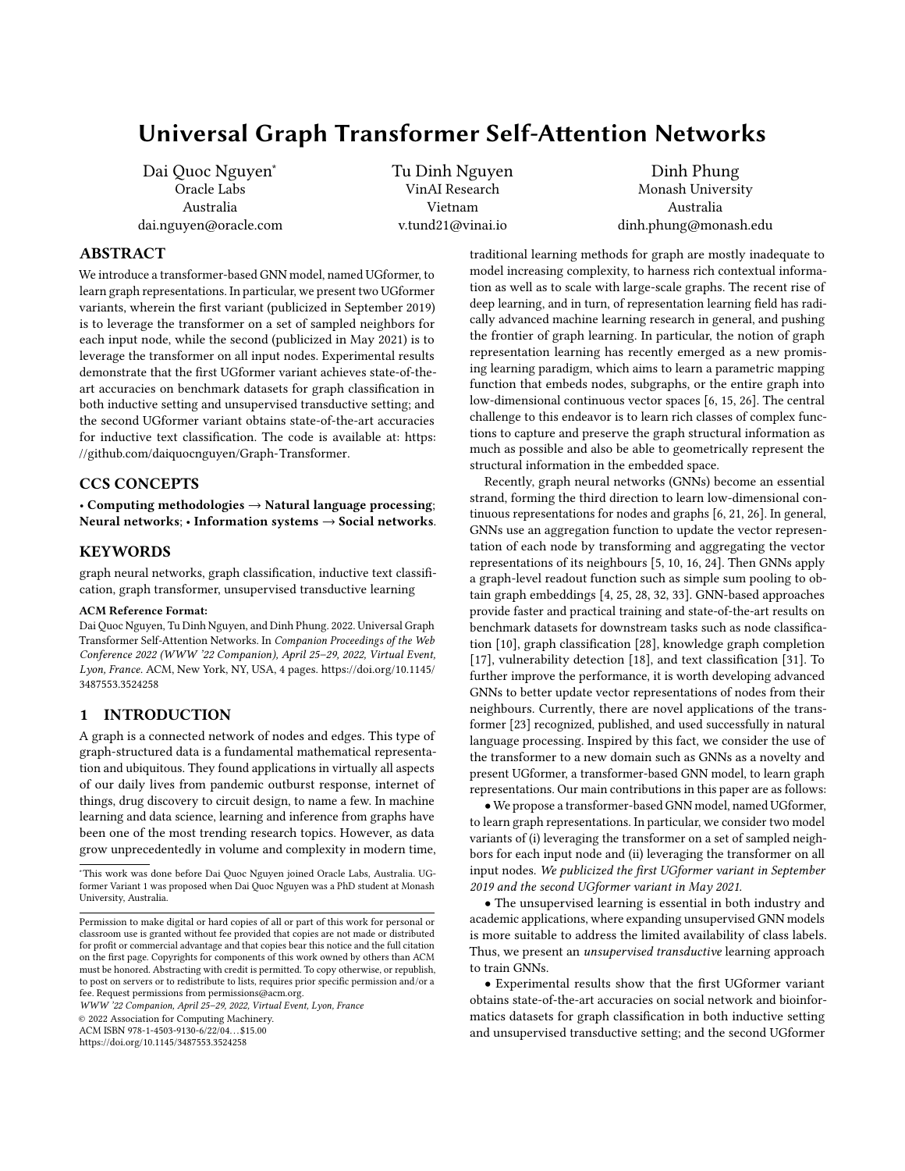# Universal Graph Transformer Self-Attention Networks

Dai Quoc Nguyen<sup>∗</sup> Oracle Labs Australia dai.nguyen@oracle.com Tu Dinh Nguyen VinAI Research Vietnam v.tund21@vinai.io

Dinh Phung Monash University Australia dinh.phung@monash.edu

## ABSTRACT

We introduce a transformer-based GNN model, named UGformer, to learn graph representations. In particular, we present two UGformer variants, wherein the first variant (publicized in September 2019) is to leverage the transformer on a set of sampled neighbors for each input node, while the second (publicized in May 2021) is to leverage the transformer on all input nodes. Experimental results demonstrate that the first UGformer variant achieves state-of-theart accuracies on benchmark datasets for graph classification in both inductive setting and unsupervised transductive setting; and the second UGformer variant obtains state-of-the-art accuracies for inductive text classification. The code is available at: [https:](https://github.com/daiquocnguyen/Graph-Transformer) [//github.com/daiquocnguyen/Graph-Transformer.](https://github.com/daiquocnguyen/Graph-Transformer)

#### CCS CONCEPTS

• Computing methodologies → Natural language processing; Neural networks; • Information systems  $\rightarrow$  Social networks.

## **KEYWORDS**

graph neural networks, graph classification, inductive text classification, graph transformer, unsupervised transductive learning

#### ACM Reference Format:

Dai Quoc Nguyen, Tu Dinh Nguyen, and Dinh Phung. 2022. Universal Graph Transformer Self-Attention Networks. In Companion Proceedings of the Web Conference 2022 (WWW '22 Companion), April 25–29, 2022, Virtual Event, Lyon, France. ACM, New York, NY, USA, [4](#page-3-0) pages. [https://doi.org/10.1145/](https://doi.org/10.1145/3487553.3524258) [3487553.3524258](https://doi.org/10.1145/3487553.3524258)

#### 1 INTRODUCTION

A graph is a connected network of nodes and edges. This type of graph-structured data is a fundamental mathematical representation and ubiquitous. They found applications in virtually all aspects of our daily lives from pandemic outburst response, internet of things, drug discovery to circuit design, to name a few. In machine learning and data science, learning and inference from graphs have been one of the most trending research topics. However, as data grow unprecedentedly in volume and complexity in modern time,

WWW '22 Companion, April 25–29, 2022, Virtual Event, Lyon, France

© 2022 Association for Computing Machinery.

ACM ISBN 978-1-4503-9130-6/22/04. . . \$15.00

<https://doi.org/10.1145/3487553.3524258>

traditional learning methods for graph are mostly inadequate to model increasing complexity, to harness rich contextual information as well as to scale with large-scale graphs. The recent rise of deep learning, and in turn, of representation learning field has radically advanced machine learning research in general, and pushing the frontier of graph learning. In particular, the notion of graph representation learning has recently emerged as a new promising learning paradigm, which aims to learn a parametric mapping function that embeds nodes, subgraphs, or the entire graph into low-dimensional continuous vector spaces [\[6,](#page-3-1) [15,](#page-3-2) [26\]](#page-3-3). The central challenge to this endeavor is to learn rich classes of complex functions to capture and preserve the graph structural information as much as possible and also be able to geometrically represent the structural information in the embedded space.

Recently, graph neural networks (GNNs) become an essential strand, forming the third direction to learn low-dimensional continuous representations for nodes and graphs [\[6,](#page-3-1) [21,](#page-3-4) [26\]](#page-3-3). In general, GNNs use an aggregation function to update the vector representation of each node by transforming and aggregating the vector representations of its neighbours [\[5,](#page-3-5) [10,](#page-3-6) [16,](#page-3-7) [24\]](#page-3-8). Then GNNs apply a graph-level readout function such as simple sum pooling to obtain graph embeddings [\[4,](#page-3-9) [25,](#page-3-10) [28,](#page-3-11) [32,](#page-3-12) [33\]](#page-3-13). GNN-based approaches provide faster and practical training and state-of-the-art results on benchmark datasets for downstream tasks such as node classification [\[10\]](#page-3-6), graph classification [\[28\]](#page-3-11), knowledge graph completion [\[17\]](#page-3-14), vulnerability detection [\[18\]](#page-3-15), and text classification [\[31\]](#page-3-16). To further improve the performance, it is worth developing advanced GNNs to better update vector representations of nodes from their neighbours. Currently, there are novel applications of the transformer [\[23\]](#page-3-17) recognized, published, and used successfully in natural language processing. Inspired by this fact, we consider the use of the transformer to a new domain such as GNNs as a novelty and present UGformer, a transformer-based GNN model, to learn graph representations. Our main contributions in this paper are as follows:

• We propose a transformer-based GNN model, named UGformer, to learn graph representations. In particular, we consider two model variants of (i) leveraging the transformer on a set of sampled neighbors for each input node and (ii) leveraging the transformer on all input nodes. We publicized the first UGformer variant in September 2019 and the second UGformer variant in May 2021.

• The unsupervised learning is essential in both industry and academic applications, where expanding unsupervised GNN models is more suitable to address the limited availability of class labels. Thus, we present an unsupervised transductive learning approach to train GNNs.

• Experimental results show that the first UGformer variant obtains state-of-the-art accuracies on social network and bioinformatics datasets for graph classification in both inductive setting and unsupervised transductive setting; and the second UGformer

<sup>∗</sup>This work was done before Dai Quoc Nguyen joined Oracle Labs, Australia. UGformer Variant 1 was proposed when Dai Quoc Nguyen was a PhD student at Monash University, Australia.

Permission to make digital or hard copies of all or part of this work for personal or classroom use is granted without fee provided that copies are not made or distributed for profit or commercial advantage and that copies bear this notice and the full citation on the first page. Copyrights for components of this work owned by others than ACM must be honored. Abstracting with credit is permitted. To copy otherwise, or republish, to post on servers or to redistribute to lists, requires prior specific permission and/or a fee. Request permissions from permissions@acm.org.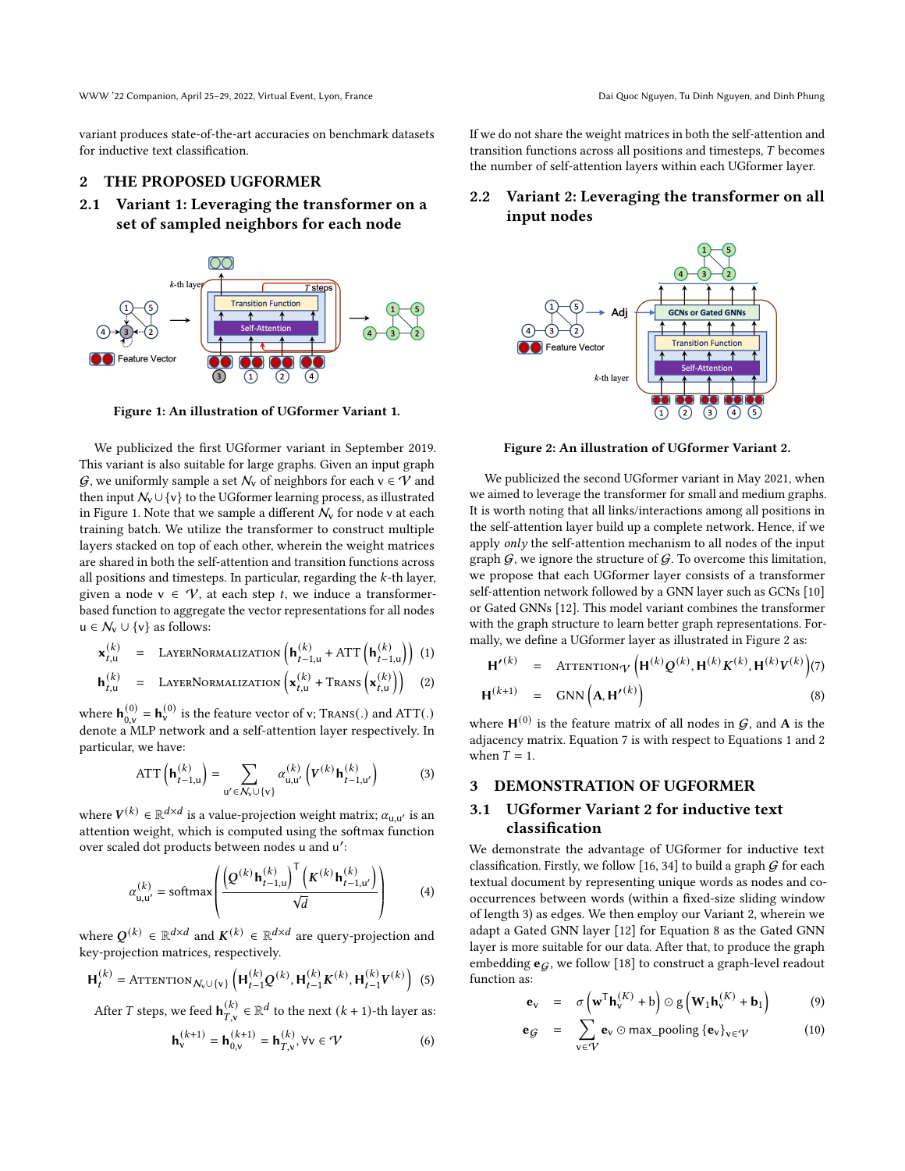WWW '22 Companion, April 25–29, 2022, Virtual Event, Lyon, France Dai Cuoc Nguoc Nguyen, Tu Dinh Nguyen, and Dinh Phung

variant produces state-of-the-art accuracies on benchmark datasets for inductive text classification.

## 2 THE PROPOSED UGFORMER

2.1 Variant 1: Leveraging the transformer on a set of sampled neighbors for each node

<span id="page-1-0"></span>

Figure 1: An illustration of UGformer Variant 1.

We publicized the first UGformer variant in September 2019. This variant is also suitable for large graphs. Given an input graph  $\mathcal{G}$ , we uniformly sample a set  $\mathcal{N}_v$  of neighbors for each  $v \in \mathcal{V}$  and then input  $\mathcal{N}_v \cup \{v\}$  to the UGformer learning process, as illustrated in Figure [1.](#page-1-0) Note that we sample a different  $N_v$  for node v at each training batch. We utilize the transformer to construct multiple layers stacked on top of each other, wherein the weight matrices are shared in both the self-attention and transition functions across all positions and timesteps. In particular, regarding the  $k$ -th layer, given a node  $v \in V$ , at each step t, we induce a transformerbased function to aggregate the vector representations for all nodes  $u \in \mathcal{N}_v \cup \{v\}$  as follows:

<span id="page-1-3"></span>
$$
\mathbf{x}_{t,u}^{(k)} = \text{LAYERNoRMALIZATION}\left(\mathbf{h}_{t-1,u}^{(k)} + \text{ATT}\left(\mathbf{h}_{t-1,u}^{(k)}\right)\right) (1)
$$

$$
\mathbf{h}_{t,u}^{(k)} = \text{LAYERNoRMALIZATION}\left(\mathbf{x}_{t,u}^{(k)} + \text{Trans}\left(\mathbf{x}_{t,u}^{(k)}\right)\right) \quad (2)
$$

where  $\mathbf{h}_{0,v}^{(0)} = \mathbf{h}_v^{(0)}$  is the feature vector of v; Trans(.) and ATT(.) denote a MLP network and a self-attention layer respectively. In particular, we have:

$$
ATT\left(\mathbf{h}_{t-1,u}^{(k)}\right) = \sum_{u' \in \mathcal{N}_v \cup \{v\}} \alpha_{u,u'}^{(k)}\left(V^{(k)}\mathbf{h}_{t-1,u'}^{(k)}\right) \tag{3}
$$

where  $V^{(k)} \in \mathbb{R}^{d \times d}$  is a value-projection weight matrix;  $\alpha_{\mathsf{u},\mathsf{u}'}$  is an attention weight, which is computed using the softmax function over scaled dot products between nodes u and u ′ :

$$
\alpha_{\mathsf{u},\mathsf{u}'}^{(k)} = \text{softmax}\left(\frac{\left(Q^{(k)}\mathbf{h}_{t-1,\mathsf{u}}^{(k)}\right)^{\mathsf{T}}\left(\mathbf{K}^{(k)}\mathbf{h}_{t-1,\mathsf{u}'}^{(k)}\right)}{\sqrt{d}}\right) \tag{4}
$$

where  $Q^{(k)} \in \mathbb{R}^{d \times d}$  and  $K^{(k)} \in \mathbb{R}^{d \times d}$  are query-projection and key-projection matrices, respectively.

$$
\mathbf{H}_{t}^{(k)} = \text{ATTENTION}_{\mathcal{N}_{v} \cup \{v\}} \left( \mathbf{H}_{t-1}^{(k)} \mathbf{Q}^{(k)}, \mathbf{H}_{t-1}^{(k)} \mathbf{K}^{(k)}, \mathbf{H}_{t-1}^{(k)} \mathbf{V}^{(k)} \right) (5)
$$

After T steps, we feed  $\mathbf{h}_{T,\nu}^{(k)}$  $\binom{k}{T,v}$  ∈  $\mathbb{R}^d$  to the next  $(k + 1)$ -th layer as:

$$
\mathbf{h}_{v}^{(k+1)} = \mathbf{h}_{0,v}^{(k+1)} = \mathbf{h}_{T,v}^{(k)}, \forall v \in \mathcal{V}
$$
 (6)

If we do not share the weight matrices in both the self-attention and transition functions across all positions and timesteps,  $T$  becomes the number of self-attention layers within each UGformer layer.

## 2.2 Variant 2: Leveraging the transformer on all input nodes

<span id="page-1-1"></span>

Figure 2: An illustration of UGformer Variant 2.

We publicized the second UGformer variant in May 2021, when we aimed to leverage the transformer for small and medium graphs. It is worth noting that all links/interactions among all positions in the self-attention layer build up a complete network. Hence, if we apply only the self-attention mechanism to all nodes of the input graph  $G$ , we ignore the structure of  $G$ . To overcome this limitation, we propose that each UGformer layer consists of a transformer self-attention network followed by a GNN layer such as GCNs [\[10\]](#page-3-6) or Gated GNNs [\[12\]](#page-3-18). This model variant combines the transformer with the graph structure to learn better graph representations. Formally, we define a UGformer layer as illustrated in Figure [2](#page-1-1) as:

<span id="page-1-2"></span>
$$
\mathbf{H'}^{(k)} = \text{ATTENTION}_{\mathcal{V}} \left( \mathbf{H}^{(k)} \mathcal{Q}^{(k)}, \mathbf{H}^{(k)} K^{(k)}, \mathbf{H}^{(k)} V^{(k)} \right) (7)
$$

$$
\mathbf{H}^{(k+1)} = \text{GNN} \left( \mathbf{A}, \mathbf{H'}^{(k)} \right) \tag{8}
$$

where  $\mathsf{H}^{(0)}$  is the feature matrix of all nodes in  $\mathcal{G},$  and  $\mathbf A$  is the adjacency matrix. Equation [7](#page-1-2) is with respect to Equations [1](#page-1-3) and [2](#page-1-3) when  $T = 1$ .

#### 3 DEMONSTRATION OF UGFORMER

# 3.1 UGformer Variant 2 for inductive text classification

We demonstrate the advantage of UGformer for inductive text classification. Firstly, we follow [\[16,](#page-3-7) [34\]](#page-3-19) to build a graph  $G$  for each textual document by representing unique words as nodes and cooccurrences between words (within a fixed-size sliding window of length 3) as edges. We then employ our Variant 2, wherein we adapt a Gated GNN layer [\[12\]](#page-3-18) for Equation [8](#page-1-2) as the Gated GNN layer is more suitable for our data. After that, to produce the graph embedding  $e_G$ , we follow [\[18\]](#page-3-15) to construct a graph-level readout function as:

$$
\mathbf{e}_{v} = \sigma \left( \mathbf{w}^{\mathrm{T}} \mathbf{h}_{v}^{(K)} + \mathbf{b} \right) \odot \mathbf{g} \left( \mathbf{W}_{1} \mathbf{h}_{v}^{(K)} + \mathbf{b}_{1} \right) \tag{9}
$$

$$
\mathbf{e}_{\mathcal{G}} = \sum_{v \in \mathcal{V}} \mathbf{e}_v \odot \max_{\varphi} \text{pooling } \{\mathbf{e}_v\}_{v \in \mathcal{V}} \tag{10}
$$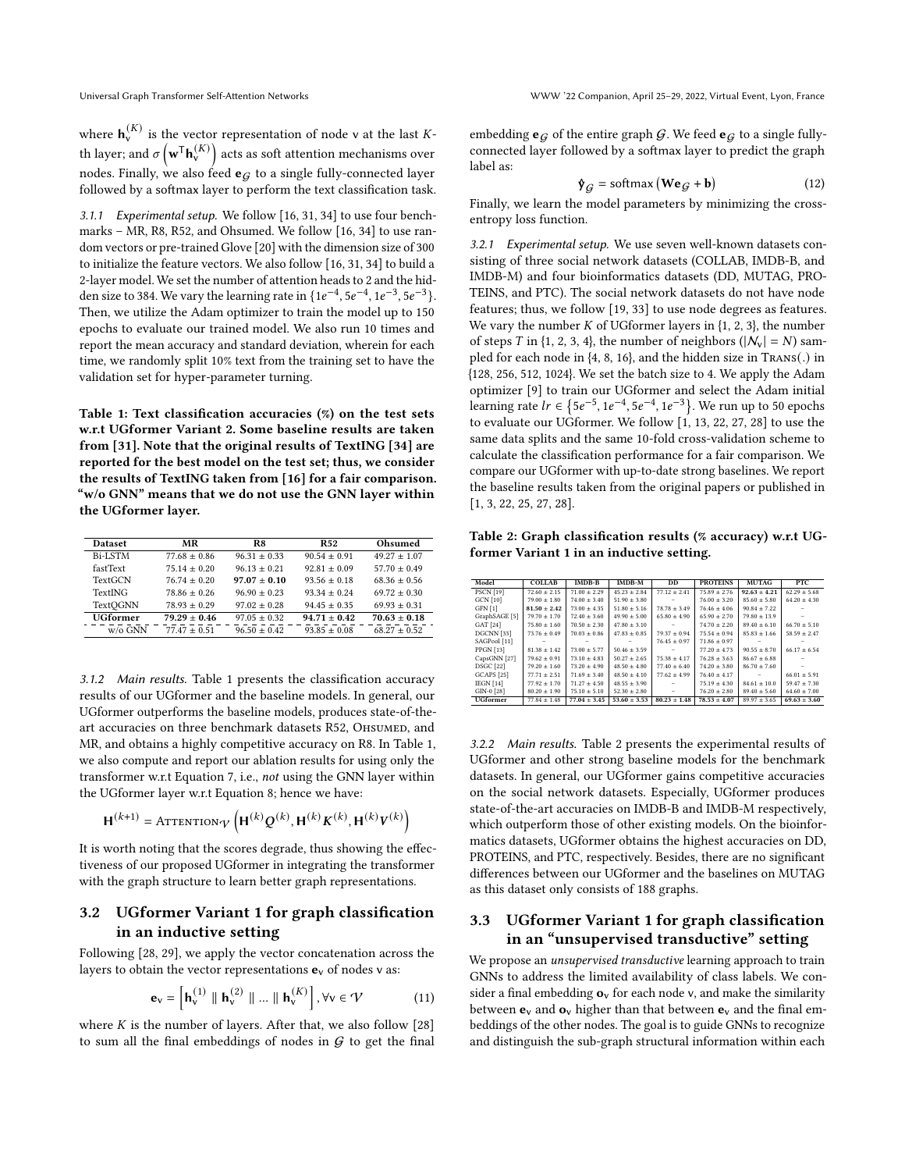where  $\mathbf{h}_{\mathsf{v}}^{(K)}$  is the vector representation of node v at the last Kth layer; and  $\sigma\left(\mathbf{w}^{\mathsf{T}}\mathbf{h}_{\mathsf{v}}^{(K)}\right)$  acts as soft attention mechanisms over nodes. Finally, we also feed  $\mathbf{e}_G$  to a single fully-connected layer followed by a softmax layer to perform the text classification task.

3.1.1 Experimental setup. We follow [\[16,](#page-3-7) [31,](#page-3-16) [34\]](#page-3-19) to use four benchmarks – MR, R8, R52, and Ohsumed. We follow [\[16,](#page-3-7) [34\]](#page-3-19) to use random vectors or pre-trained Glove [\[20\]](#page-3-20) with the dimension size of 300 to initialize the feature vectors. We also follow [\[16,](#page-3-7) [31,](#page-3-16) [34\]](#page-3-19) to build a 2-layer model. We set the number of attention heads to 2 and the hidden size to 384. We vary the learning rate in  $\{1e^{-4}, 5e^{-4}, 1e^{-3}, 5e^{-3}\}.$ Then, we utilize the Adam optimizer to train the model up to 150 epochs to evaluate our trained model. We also run 10 times and report the mean accuracy and standard deviation, wherein for each time, we randomly split 10% text from the training set to have the validation set for hyper-parameter turning.

<span id="page-2-0"></span>Table 1: Text classification accuracies (%) on the test sets w.r.t UGformer Variant 2. Some baseline results are taken from [\[31\]](#page-3-16). Note that the original results of TextING [\[34\]](#page-3-19) are reported for the best model on the test set; thus, we consider the results of TextING taken from [\[16\]](#page-3-7) for a fair comparison. "w/o GNN" means that we do not use the GNN layer within the UGformer layer.

| <b>Dataset</b>  | МR             | R8             | <b>R52</b>     | Ohsumed        |
|-----------------|----------------|----------------|----------------|----------------|
| Bi-LSTM         | $77.68 + 0.86$ | $96.31 + 0.33$ | $90.54 + 0.91$ | $49.27 + 1.07$ |
| fastText        | $7514 + 020$   | $9613 + 0.21$  | $92.81 + 0.09$ | $57.70 + 0.49$ |
| <b>TextGCN</b>  | $76.74 + 0.20$ | $97.07 + 0.10$ | $93.56 + 0.18$ | $68.36 + 0.56$ |
| <b>TextING</b>  | $78.86 + 0.26$ | $96.90 + 0.23$ | $9334 + 0.24$  | $69.72 + 0.30$ |
| <b>TextOGNN</b> | $78.93 + 0.29$ | $97.02 + 0.28$ | $9445 + 035$   | $69.93 + 0.31$ |
| <b>UGformer</b> | $79.29 + 0.46$ | $97.05 + 0.32$ | $94.71 + 0.42$ | $70.63 + 0.18$ |
| $w/\alpha$ GNN  | $77.47 + 0.51$ | $9650 + 042$   | $93.85 + 0.08$ | $68.27 + 0.52$ |

3.1.2 Main results. Table [1](#page-2-0) presents the classification accuracy results of our UGformer and the baseline models. In general, our UGformer outperforms the baseline models, produces state-of-theart accuracies on three benchmark datasets R52, OHSUMED, and MR, and obtains a highly competitive accuracy on R8. In Table [1,](#page-2-0) we also compute and report our ablation results for using only the transformer w.r.t Equation [7,](#page-1-2) i.e., not using the GNN layer within the UGformer layer w.r.t Equation [8;](#page-1-2) hence we have:

$$
\mathbf{H}^{(k+1)} = \text{ATTENTION}_{\mathcal{V}}\left(\mathbf{H}^{(k)}\mathcal{Q}^{(k)}, \mathbf{H}^{(k)}\mathcal{K}^{(k)}, \mathbf{H}^{(k)}\mathcal{V}^{(k)}\right)
$$

It is worth noting that the scores degrade, thus showing the effectiveness of our proposed UGformer in integrating the transformer with the graph structure to learn better graph representations.

## 3.2 UGformer Variant 1 for graph classification in an inductive setting

Following [\[28,](#page-3-11) [29\]](#page-3-21), we apply the vector concatenation across the layers to obtain the vector representations  $\mathbf{e}_v$  of nodes v as:

$$
\mathbf{e}_{\mathbf{v}} = \left[\mathbf{h}_{\mathbf{v}}^{(1)} \parallel \mathbf{h}_{\mathbf{v}}^{(2)} \parallel ... \parallel \mathbf{h}_{\mathbf{v}}^{(K)}\right], \forall \mathbf{v} \in \mathcal{V} \tag{11}
$$

where  $K$  is the number of layers. After that, we also follow  $[28]$ to sum all the final embeddings of nodes in  $G$  to get the final embedding  $\mathbf{e}_G$  of the entire graph  $G$ . We feed  $\mathbf{e}_G$  to a single fullyconnected layer followed by a softmax layer to predict the graph label as:

$$
\mathbf{\hat{y}}_{\mathcal{G}} = \text{softmax}\left(\mathbf{We}_{\mathcal{G}} + \mathbf{b}\right) \tag{12}
$$

Finally, we learn the model parameters by minimizing the crossentropy loss function.

3.2.1 Experimental setup. We use seven well-known datasets consisting of three social network datasets (COLLAB, IMDB-B, and IMDB-M) and four bioinformatics datasets (DD, MUTAG, PRO-TEINS, and PTC). The social network datasets do not have node features; thus, we follow [\[19,](#page-3-22) [33\]](#page-3-13) to use node degrees as features. We vary the number  $K$  of UGformer layers in  $\{1, 2, 3\}$ , the number of steps T in {1, 2, 3, 4}, the number of neighbors ( $|N_v| = N$ ) sampled for each node in {4, 8, 16}, and the hidden size in Trans(.) in {128, 256, 512, 1024}. We set the batch size to 4. We apply the Adam optimizer [\[9\]](#page-3-23) to train our UGformer and select the Adam initial learning rate  $lr \in \{5e^{-5}, 1e^{-4}, 5e^{-4}, 1e^{-3}\}$ . We run up to 50 epochs to evaluate our UGformer. We follow [\[1,](#page-3-24) [13,](#page-3-25) [22,](#page-3-26) [27,](#page-3-27) [28\]](#page-3-11) to use the same data splits and the same 10-fold cross-validation scheme to calculate the classification performance for a fair comparison. We compare our UGformer with up-to-date strong baselines. We report the baseline results taken from the original papers or published in [\[1,](#page-3-24) [3,](#page-3-28) [22,](#page-3-26) [25,](#page-3-10) [27,](#page-3-27) [28\]](#page-3-11).

<span id="page-2-1"></span>Table 2: Graph classification results (% accuracy) w.r.t UGformer Variant 1 in an inductive setting.

| Model                    | <b>COLLAB</b>    | $IMDB-B$         | IMDB-M           | <b>DD</b>        | <b>PROTEINS</b>  | <b>MUTAG</b>     | PTC.             |
|--------------------------|------------------|------------------|------------------|------------------|------------------|------------------|------------------|
| PSCN [19]                | $72.60 + 2.15$   | $71.00 + 2.29$   | $45.23 + 2.84$   | $77.12 + 2.41$   | $75.89 + 2.76$   | $92.63 + 4.21$   | $62.29 \pm 5.68$ |
| <b>GCN [10]</b>          | $79.00 \pm 1.80$ | $74.00 + 3.40$   | $51.90 + 3.80$   |                  | $76.00 \pm 3.20$ | $85.60 + 5.80$   | $64.20 \pm 4.30$ |
| GFN [1]                  | $81.50 \pm 2.42$ | $73.00 + 4.35$   | $51.80 + 5.16$   | $78.78 + 3.49$   | $76.46 + 4.06$   | $90.84 + 7.22$   |                  |
| GraphSAGE <sup>[5]</sup> | $79.70 \pm 1.70$ | $72.40 \pm 3.60$ | $49.90 \pm 5.00$ | $65.80 + 4.90$   | $65.90 + 2.70$   | $79.80 \pm 13.9$ |                  |
| GAT [24]                 | $75.80 \pm 1.60$ | $70.50 \pm 2.30$ | $47.80 \pm 3.10$ |                  | $74.70 \pm 2.20$ | $89.40 \pm 6.10$ | $66.70 \pm 5.10$ |
| DGCNN [33]               | $73.76 \pm 0.49$ | $70.03 + 0.86$   | $47.83 \pm 0.85$ | $7937 + 0.94$    | $75.54 + 0.94$   | $85.83 \pm 1.66$ | $58.59 \pm 2.47$ |
| SAGPool [11]             |                  |                  |                  | $76.45 \pm 0.97$ | $71.86 \pm 0.97$ |                  |                  |
| PPGN[13]                 | $81.38 \pm 1.42$ | $73.00 \pm 5.77$ | $50.46 \pm 3.59$ |                  | $77.20 \pm 4.73$ | $90.55 + 8.70$   | $66.17 \pm 6.54$ |
| CapsGNN [27]             | $79.62 \pm 0.91$ | $73.10 \pm 4.83$ | $50.27 + 2.65$   | $75.38 \pm 4.17$ | $76.28 \pm 3.63$ | $86.67 + 6.88$   |                  |
| DSGC [22]                | $79.20 \pm 1.60$ | $73.20 \pm 4.90$ | $48.50 + 4.80$   | $77.40 \pm 6.40$ | $74.20 + 3.80$   | $86.70 \pm 7.60$ |                  |
| <b>GCAPS</b> [25]        | $77.71 \pm 2.51$ | $71.69 + 3.40$   | $48.50 + 4.10$   | $77.62 + 4.99$   | $76.40 \pm 4.17$ |                  | $66.01 \pm 5.91$ |
| IEGN $[14]$              | $77.92 \pm 1.70$ | $71.27 \pm 4.50$ | $48.55 \pm 3.90$ |                  | $75.19 \pm 4.30$ | $84.61 \pm 10.0$ | $59.47 \pm 7.30$ |
| GIN-0 [28]               | $80.20 \pm 1.90$ | $75.10 \pm 5.10$ | $52.30 \pm 2.80$ |                  | $76.20 \pm 2.80$ | $89.40 \pm 5.60$ | $64.60 \pm 7.00$ |
| <b>UGformer</b>          | $77.84 \pm 1.48$ | $77.04 \pm 3.45$ | $53.60 \pm 3.53$ | $80.23 \pm 1.48$ | $78.53 \pm 4.07$ | $89.97 \pm 3.65$ | $69.63 \pm 3.60$ |

3.2.2 Main results. Table [2](#page-2-1) presents the experimental results of UGformer and other strong baseline models for the benchmark datasets. In general, our UGformer gains competitive accuracies on the social network datasets. Especially, UGformer produces state-of-the-art accuracies on IMDB-B and IMDB-M respectively, which outperform those of other existing models. On the bioinformatics datasets, UGformer obtains the highest accuracies on DD, PROTEINS, and PTC, respectively. Besides, there are no significant differences between our UGformer and the baselines on MUTAG as this dataset only consists of 188 graphs.

## 3.3 UGformer Variant 1 for graph classification in an "unsupervised transductive" setting

We propose an unsupervised transductive learning approach to train GNNs to address the limited availability of class labels. We consider a final embedding  $o_v$  for each node v, and make the similarity between  $\mathbf{e}_v$  and  $\mathbf{o}_v$  higher than that between  $\mathbf{e}_v$  and the final embeddings of the other nodes. The goal is to guide GNNs to recognize and distinguish the sub-graph structural information within each